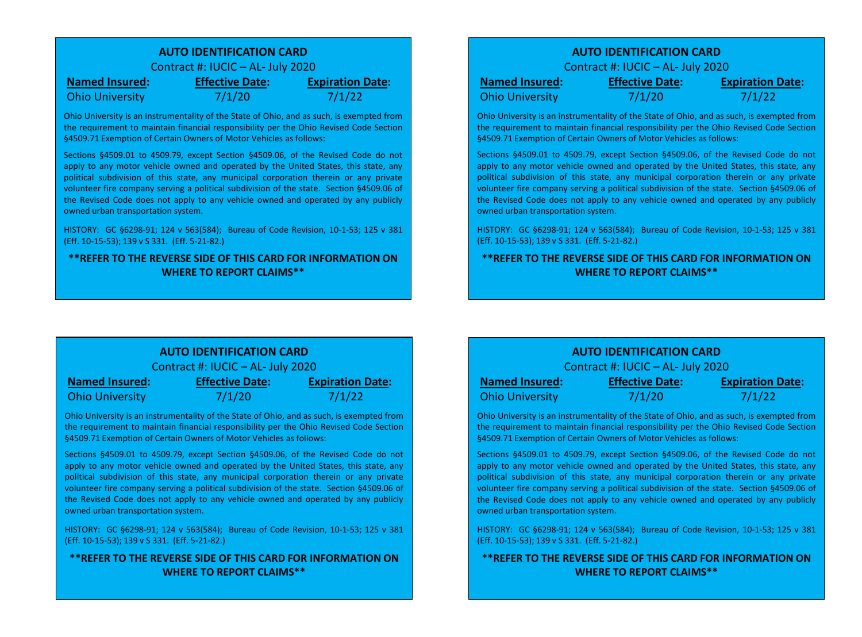## **AUTO IDENTIFICATION CARD**

Contract #: IUCIC – AL- July 2020

**Named Insured: Effective Date: Expiration Date:** Ohio University 7/1/20 7/1/22

Ohio University is an instrumentality of the State of Ohio, and as such, is exempted from the requirement to maintain financial responsibility per the Ohio Revised Code Section §4509.71 Exemption of Certain Owners of Motor Vehicles as follows:

Sections §4509.01 to 4509.79, except Section §4509.06, of the Revised Code do not apply to any motor vehicle owned and operated by the United States, this state, any political subdivision of this state, any municipal corporation therein or any private volunteer fire company serving a political subdivision of the state. Section §4509.06 of the Revised Code does not apply to any vehicle owned and operated by any publicly owned urban transportation system.

HISTORY: GC §6298-91; 124 v 563(584); Bureau of Code Revision, 10-1-53; 125 v 381 (Eff. 10-15-53); 139 v S 331. (Eff. 5-21-82.)

## **\*\*REFER TO THE REVERSE SIDE OF THIS CARD FOR INFORMATION ON WHERE TO REPORT CLAIMS\*\***

## **AUTO IDENTIFICATION CARD**

Contract #: IUCIC – AL- July 2020

**Named Insured: Effective Date: Expiration Date:** Ohio University 7/1/20 7/1/22

Ohio University is an instrumentality of the State of Ohio, and as such, is exempted from the requirement to maintain financial responsibility per the Ohio Revised Code Section §4509.71 Exemption of Certain Owners of Motor Vehicles as follows:

Sections §4509.01 to 4509.79, except Section §4509.06, of the Revised Code do not apply to any motor vehicle owned and operated by the United States, this state, any political subdivision of this state, any municipal corporation therein or any private volunteer fire company serving a political subdivision of the state. Section §4509.06 of the Revised Code does not apply to any vehicle owned and operated by any publicly owned urban transportation system.

HISTORY: GC §6298-91; 124 v 563(584); Bureau of Code Revision, 10-1-53; 125 v 381 (Eff. 10-15-53); 139 v S 331. (Eff. 5-21-82.)

## **\*\*REFER TO THE REVERSE SIDE OF THIS CARD FOR INFORMATION ON WHERE TO REPORT CLAIMS\*\***

# **AUTO IDENTIFICATION CARD**

Contract #: IUCIC – AL- July 2020

| <b>Named Insured:</b>  | <b>Effective Date:</b> | <b>Expiration Date:</b> |
|------------------------|------------------------|-------------------------|
| <b>Ohio University</b> | 7/1/20                 | 7/1/22                  |

Ohio University is an instrumentality of the State of Ohio, and as such, is exempted from the requirement to maintain financial responsibility per the Ohio Revised Code Section §4509.71 Exemption of Certain Owners of Motor Vehicles as follows:

Sections §4509.01 to 4509.79, except Section §4509.06, of the Revised Code do not apply to any motor vehicle owned and operated by the United States, this state, any political subdivision of this state, any municipal corporation therein or any private volunteer fire company serving a political subdivision of the state. Section §4509.06 of the Revised Code does not apply to any vehicle owned and operated by any publicly owned urban transportation system.

HISTORY: GC §6298-91; 124 v 563(584); Bureau of Code Revision, 10-1-53; 125 v 381 (Eff. 10-15-53); 139 v S 331. (Eff. 5-21-82.)

**\*\*REFER TO THE REVERSE SIDE OF THIS CARD FOR INFORMATION ON WHERE TO REPORT CLAIMS\*\***

## **AUTO IDENTIFICATION CARD**

Contract #: IUCIC – AL- July 2020

| <b>Named Insured:</b>  | <b>Effective Date:</b> | <b>Expiration Date:</b> |
|------------------------|------------------------|-------------------------|
| <b>Ohio University</b> | 7/1/20                 | 7/1/22                  |

Ohio University is an instrumentality of the State of Ohio, and as such, is exempted from the requirement to maintain financial responsibility per the Ohio Revised Code Section §4509.71 Exemption of Certain Owners of Motor Vehicles as follows:

Sections §4509.01 to 4509.79, except Section §4509.06, of the Revised Code do not apply to any motor vehicle owned and operated by the United States, this state, any political subdivision of this state, any municipal corporation therein or any private volunteer fire company serving a political subdivision of the state. Section §4509.06 of the Revised Code does not apply to any vehicle owned and operated by any publicly owned urban transportation system.

HISTORY: GC §6298-91; 124 v 563(584); Bureau of Code Revision, 10-1-53; 125 v 381 (Eff. 10-15-53); 139 v S 331. (Eff. 5-21-82.)

### **\*\*REFER TO THE REVERSE SIDE OF THIS CARD FOR INFORMATION ON WHERE TO REPORT CLAIMS\*\***